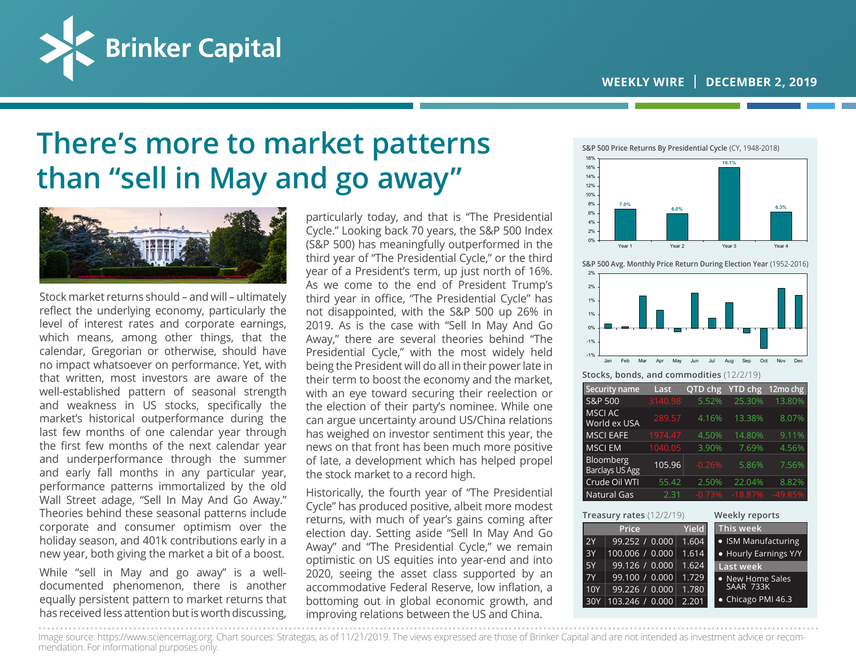

## **There's more to market patterns than "sell in May and go away"**



Stock market returns should – and will – ultimately reflect the underlying economy, particularly the level of interest rates and corporate earnings, which means, among other things, that the calendar, Gregorian or otherwise, should have no impact whatsoever on performance. Yet, with that written, most investors are aware of the well-established pattern of seasonal strength and weakness in US stocks, specifically the market's historical outperformance during the last few months of one calendar year through the first few months of the next calendar year and underperformance through the summer and early fall months in any particular year, performance patterns immortalized by the old Wall Street adage, "Sell In May And Go Away." Theories behind these seasonal patterns include corporate and consumer optimism over the holiday season, and 401k contributions early in a new year, both giving the market a bit of a boost.

While "sell in May and go away" is a welldocumented phenomenon, there is another equally persistent pattern to market returns that has received less attention but is worth discussing,

particularly today, and that is "The Presidential Cycle." Looking back 70 years, the S&P 500 Index (S&P 500) has meaningfully outperformed in the third year of "The Presidential Cycle," or the third year of a President's term, up just north of 16%. As we come to the end of President Trump's third year in office, "The Presidential Cycle" has not disappointed, with the S&P 500 up 26% in 2019. As is the case with "Sell In May And Go Away," there are several theories behind "The Presidential Cycle," with the most widely held being the President will do all in their power late in their term to boost the economy and the market, with an eye toward securing their reelection or the election of their party's nominee. While one can argue uncertainty around US/China relations has weighed on investor sentiment this year, the news on that front has been much more positive of late, a development which has helped propel the stock market to a record high.

Historically, the fourth year of "The Presidential Cycle" has produced positive, albeit more modest returns, with much of year's gains coming after election day. Setting aside "Sell In May And Go Away" and "The Presidential Cycle," we remain optimistic on US equities into year-end and into 2020, seeing the asset class supported by an accommodative Federal Reserve, low inflation, a bottoming out in global economic growth, and improving relations between the US and China.



**S&P 500 Avg. Monthly Price Return During Election Year** (1952-2016)



**Stocks, bonds, and commodities** (12/2/19)

| Security name                       | Last    | QTD chg  | <b>YTD chg</b> | 12mo chg  |
|-------------------------------------|---------|----------|----------------|-----------|
| S&P 500                             | 3140.98 | 5.52%    | 25.30%         | 13.80%    |
| <b>MSCI AC</b><br>World ex USA      | 289.57  | 4.16%    | 13.38%         | 8.07%     |
| <b>MSCI EAFE</b>                    | 1974.47 | 4.50%    | 14.80%         | 9.11%     |
| <b>MSCI EM</b>                      | 1040.05 | 3.90%    | 7.69%          | 4.56%     |
| Bloomberg<br><b>Barclays US Agg</b> | 105.96  | $-0.26%$ | 5.86%          | 7.56%     |
| Crude Oil WTI                       | 55.42   | 2.50%    | 22.04%         | 8.82%     |
| Natural Gas                         | 2.31    | $-0.73%$ | $-18.87%$      | $-49.85%$ |

|           | <b>Treasury rates</b> $(12/2/19)$ | <b>Weekly reports</b> |                            |
|-----------|-----------------------------------|-----------------------|----------------------------|
|           | Price                             | <b>Yield</b>          | This week                  |
| 2Y        | 99.252 / 0.000                    | 1.604                 | • ISM Manufacturing        |
| 3Y        | 100.006 / 0.000                   | 1.614                 | • Hourly Earnings Y/Y      |
| 5Y        | 99.126 / 0.000                    | 1.624                 | <b>Last week</b>           |
| <b>7Y</b> | 99.100 / 0.000                    | 1.729                 | • New Home Sales           |
| 10Y       | 99.226 / 0.000                    | 1.780                 | SAAR 733K                  |
| 30Y       | 103.246 / 0.000                   | 2.201                 | $\bullet$ Chicago PMI 46.3 |

Image source: https://www.sciencemag.org. Chart sources: Strategas, as of 11/21/2019. The views expressed are those of Brinker Capital and are not intended as investment advice or recommendation. For informational purposes only.